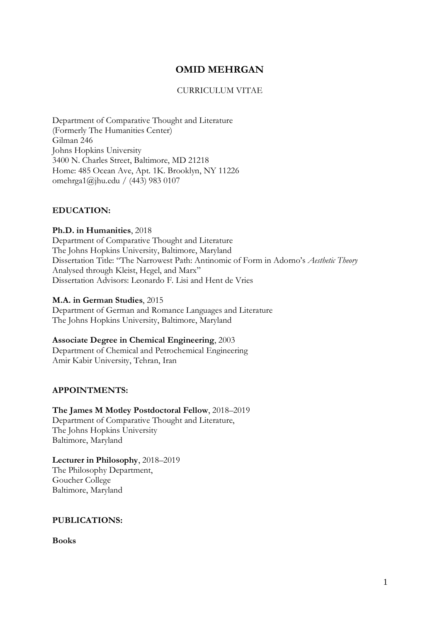# **OMID MEHRGAN**

# CURRICULUM VITAE

Department of Comparative Thought and Literature (Formerly The Humanities Center) Gilman 246 Johns Hopkins University 3400 N. Charles Street, Baltimore, MD 21218 Home: 485 Ocean Ave, Apt. 1K. Brooklyn, NY 11226 omehrga1@jhu.edu / (443) 983 0107

# **EDUCATION:**

**Ph.D. in Humanities**, 2018 Department of Comparative Thought and Literature The Johns Hopkins University, Baltimore, Maryland Dissertation Title: "The Narrowest Path: Antinomic of Form in Adorno's *Aesthetic Theory* Analysed through Kleist, Hegel, and Marx" Dissertation Advisors: Leonardo F. Lisi and Hent de Vries

#### **M.A. in German Studies**, 2015

Department of German and Romance Languages and Literature The Johns Hopkins University, Baltimore, Maryland

**Associate Degree in Chemical Engineering**, 2003 Department of Chemical and Petrochemical Engineering Amir Kabir University, Tehran, Iran

#### **APPOINTMENTS:**

**The James M Motley Postdoctoral Fellow**, 2018–2019 Department of Comparative Thought and Literature, The Johns Hopkins University Baltimore, Maryland

**Lecturer in Philosophy**, 2018–2019 The Philosophy Department, Goucher College Baltimore, Maryland

# **PUBLICATIONS:**

**Books**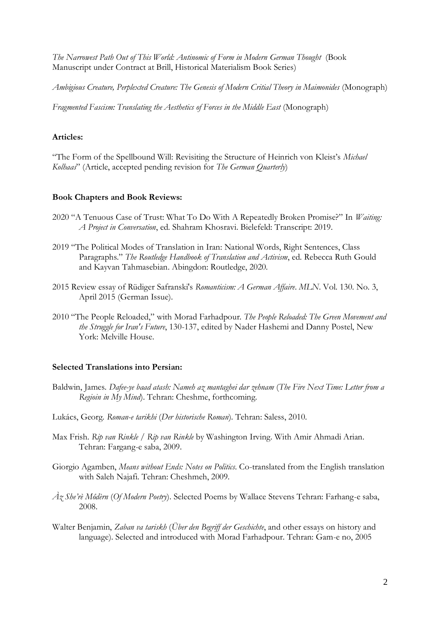*The Narrowest Path Out of This World: Antinomic of Form in Modern German Thought* (Book Manuscript under Contract at Brill, Historical Materialism Book Series)

*Ambigious Creature, Perplexted Creature: The Genesis of Modern Critial Theory in Maimonides* (Monograph)

*Fragmented Fascism: Translating the Aesthetics of Forces in the Middle East* (Monograph)

### **Articles:**

"The Form of the Spellbound Will: Revisiting the Structure of Heinrich von Kleist's *Michael Kolhaas*" (Article, accepted pending revision for *The German Quarterly*)

#### **Book Chapters and Book Reviews:**

- 2020 "A Tenuous Case of Trust: What To Do With A Repeatedly Broken Promise?" In *Waiting: A Project in Conversation*, ed. Shahram Khosravi. Bielefeld: Transcript: 2019.
- 2019 "The Political Modes of Translation in Iran: National Words, Right Sentences, Class Paragraphs." *The Routledge Handbook of Translation and Activism*, ed. Rebecca Ruth Gould and Kayvan Tahmasebian. Abingdon: Routledge, 2020.
- 2015 Review essay of Rüdiger Safranski's *Romanticism: A German Affaire*. *MLN*. Vol. 130. No. 3, April 2015 (German Issue).
- 2010 "The People Reloaded," with Morad Farhadpour. *The People Reloaded: The Green Movement and the Struggle for Iran's Future*, 130-137, edited by Nader Hashemi and Danny Postel, New York: Melville House.

#### **Selected Translations into Persian:**

- Baldwin, James. *Dafee-ye baad atash: Nameh az mantaghei dar zehnam* (*The Fire Next Time: Letter from a Regioin in My Mind*). Tehran: Cheshme, forthcoming.
- Lukács, Georg. *Roman-e tarikhi* (*Der historische Roman*). Tehran: Saless, 2010.
- Max Frish. *Rip van Rinkle* / *Rip van Rinkle* by Washington Irving. With Amir Ahmadi Arian. Tehran: Fargang-e saba, 2009.
- Giorgio Agamben, *Means without Ends: Notes on Politics*. Co-translated from the English translation with Saleh Najafi. Tehran: Cheshmeh, 2009.
- *Àz She'rè Môdèrn* (*Of Modern Poetry*). Selected Poems by Wallace Stevens Tehran: Farhang-e saba, 2008.
- Walter Benjamin, *Zaban va tariskh* (*Über den Begriff der Geschichte*, and other essays on history and language). Selected and introduced with Morad Farhadpour. Tehran: Gam-e no, 2005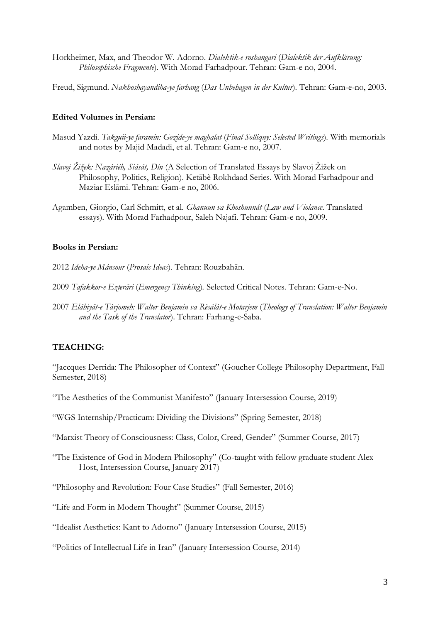Horkheimer, Max, and Theodor W. Adorno. *Dialektik-e roshangari* (*Dialektik der Aufklärung: Philosophische Fragmente*). With Morad Farhadpour. Tehran: Gam-e no, 2004.

Freud, Sigmund. *Nakhoshayandiha-ye farhang* (*Das Unbehagen in der Kultur*). Tehran: Gam-e-no, 2003.

#### **Edited Volumes in Persian:**

- Masud Yazdi. *Takguii-ye faramin: Gozide-ye maghalat* (*Final Solliquy: Selected Writings*). With memorials and notes by Majid Madadi, et al. Tehran: Gam-e no, 2007.
- *Slavoj Žižek: Nazáriéh, Siását, Dîn* (A Selection of Translated Essays by Slavoj Žižek on Philosophy, Politics, Religion). Ketābè Rokhdaad Series. With Morad Farhadpour and Maziar Eslāmi. Tehran: Gam-e no, 2006.
- Agamben, Giorgio, Carl Schmitt, et al. *Ghānuun va Khoshuunát* (*Law and Violance*. Translated essays)*.* With Morad Farhadpour, Saleh Najafi. Tehran: Gam-e no, 2009.

#### **Books in Persian:**

- 2012 *Ideha-ye Mánsour* (*Prosaic Ideas*). Tehran: Rouzbahān.
- 2009 *Tafakkor-e Ezterāri* (*Emergency Thinking*)*.* Selected Critical Notes. Tehran: Gam-e-No.
- 2007 *Elāhiyāt-e Tàrjomeh: Walter Benjamin va Rèsálát-e Motarjem* (*Theology of Translation: Walter Benjamin and the Task of the Translator*). Tehran: Farhang-e-Saba.

#### **TEACHING:**

"Jaccques Derrida: The Philosopher of Context" (Goucher College Philosophy Department, Fall Semester, 2018)

"The Aesthetics of the Communist Manifesto" (January Intersession Course, 2019)

- "WGS Internship/Practicum: Dividing the Divisions" (Spring Semester, 2018)
- "Marxist Theory of Consciousness: Class, Color, Creed, Gender" (Summer Course, 2017)
- "The Existence of God in Modern Philosophy" (Co-taught with fellow graduate student Alex Host, Intersession Course, January 2017)

"Philosophy and Revolution: Four Case Studies" (Fall Semester, 2016)

"Life and Form in Modern Thought" (Summer Course, 2015)

"Idealist Aesthetics: Kant to Adorno" (January Intersession Course, 2015)

"Politics of Intellectual Life in Iran" (January Intersession Course, 2014)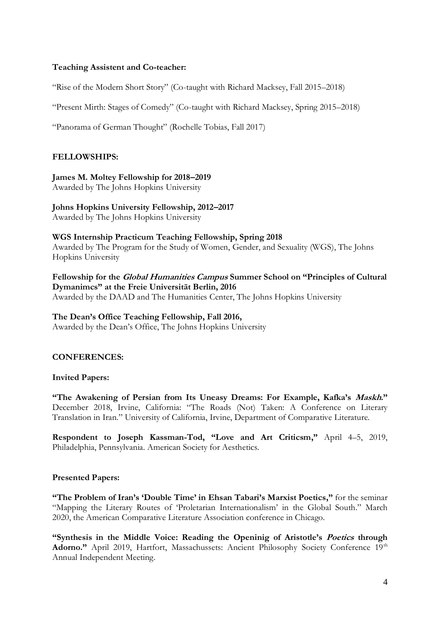#### **Teaching Assistent and Co-teacher:**

"Rise of the Modern Short Story" (Co-taught with Richard Macksey, Fall 2015–2018)

"Present Mirth: Stages of Comedy" (Co-taught with Richard Macksey, Spring 2015–2018)

"Panorama of German Thought" (Rochelle Tobias, Fall 2017)

#### **FELLOWSHIPS:**

**James M. Moltey Fellowship for 2018–2019**

Awarded by The Johns Hopkins University

# **Johns Hopkins University Fellowship, 2012–2017**

Awarded by The Johns Hopkins University

**WGS Internship Practicum Teaching Fellowship, Spring 2018** Awarded by The Program for the Study of Women, Gender, and Sexuality (WGS), The Johns Hopkins University

**Fellowship for the Global Humanities Campus Summer School on "Principles of Cultural Dymanimcs" at the Freie Universität Berlin, 2016** Awarded by the DAAD and The Humanities Center, The Johns Hopkins University

#### **The Dean's Office Teaching Fellowship, Fall 2016,**

Awarded by the Dean's Office, The Johns Hopkins University

#### **CONFERENCES:**

#### **Invited Papers:**

**"The Awakening of Persian from Its Uneasy Dreams: For Example, Kafka's Maskh."** December 2018, Irvine, California: "The Roads (Not) Taken: A Conference on Literary Translation in Iran." University of California, Irvine, Department of Comparative Literature.

**Respondent to Joseph Kassman-Tod, "Love and Art Criticsm,"** April 4–5, 2019, Philadelphia, Pennsylvania. American Society for Aesthetics.

#### **Presented Papers:**

**"The Problem of Iran's 'Double Time' in Ehsan Tabari's Marxist Poetics,"** for the seminar "Mapping the Literary Routes of 'Proletarian Internationalism' in the Global South." March 2020, the American Comparative Literature Association conference in Chicago.

**"Synthesis in the Middle Voice: Reading the Openinig of Aristotle's Poetics through**  Adorno." April 2019, Hartfort, Massachussets: Ancient Philosophy Society Conference 19<sup>th</sup> Annual Independent Meeting.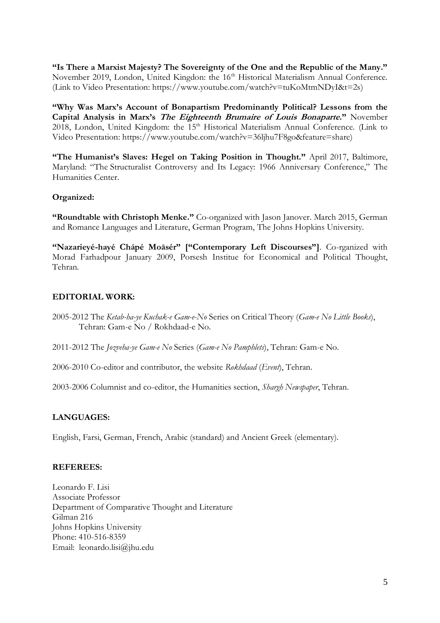**"Is There a Marxist Majesty? The Sovereignty of the One and the Republic of the Many."**  November 2019, London, United Kingdon: the 16<sup>th</sup> Historical Materialism Annual Conference. (Link to Video Presentation: https://www.youtube.com/watch?v=tuKoMtmNDyI&t=2s)

**"Why Was Marx's Account of Bonapartism Predominantly Political? Lessons from the Capital Analysis in Marx's The Eighteenth Brumaire of Louis Bonaparte."** November 2018, London, United Kingdom: the 15<sup>th</sup> Historical Materialism Annual Conference. (Link to Video Presentation: https://www.youtube.com/watch?v=36ljhu7F8go&feature=share)

**"The Humanist's Slaves: Hegel on Taking Position in Thought."** April 2017, Baltimore, Maryland: "The Structuralist Controversy and Its Legacy: 1966 Anniversary Conference," The Humanities Center.

# **Organized:**

**"Roundtable with Christoph Menke."** Co-organized with Jason Janover. March 2015, German and Romance Languages and Literature, German Program, The Johns Hopkins University.

**"Nazarieyé-hayé Chápé Moāsér" ["Contemporary Left Discourses"]**. Co-rganized with Morad Farhadpour January 2009, Porsesh Institue for Economical and Political Thought, Tehran.

# **EDITORIAL WORK:**

- 2005-2012 The *Ketab-ha-ye Kuchak-e Gam-e-No* Series on Critical Theory (*Gam-e No Little Books*), Tehran: Gam-e No / Rokhdaad-e No.
- 2011-2012 The *Jozveha-ye Gam-e No* Series (*Gam-e No Pamphlets*), Tehran: Gam-e No.

2006-2010 Co-editor and contributor, the website *Rokhdaad* (*Event*), Tehran.

2003-2006 Columnist and co-editor, the Humanities section, *Shargh Newspaper*, Tehran.

# **LANGUAGES:**

English, Farsi, German, French, Arabic (standard) and Ancient Greek (elementary).

#### **REFEREES:**

Leonardo F. Lisi Associate Professor Department of Comparative Thought and Literature Gilman 216 Johns Hopkins University Phone: 410-516-8359 Email: leonardo.lisi@jhu.edu